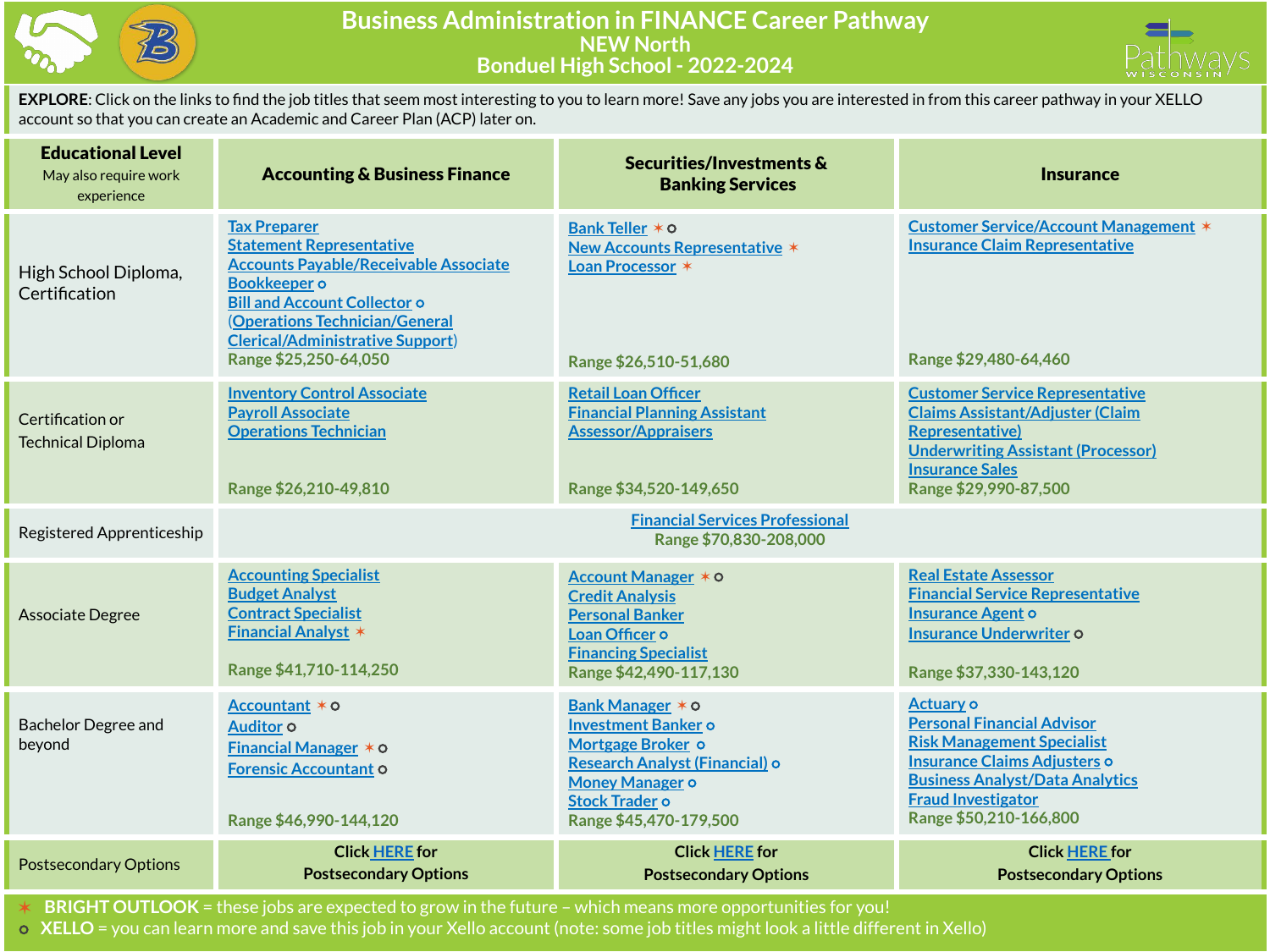



**EXPLORE**: Click on the links to find the job titles that seem most interesting to you to learn more! Save any jobs you are interested in from this career pathway in your XELLO account so that you can create an Academic and Career Plan (ACP) later on.

| <b>Educational Level</b><br>May also require work<br>experience | <b>Accounting &amp; Business Finance</b>                                                                                                                                                                                                                                   | Securities/Investments &<br><b>Banking Services</b>                                                                                                                                | <b>Insurance</b>                                                                                                                                                                                                            |
|-----------------------------------------------------------------|----------------------------------------------------------------------------------------------------------------------------------------------------------------------------------------------------------------------------------------------------------------------------|------------------------------------------------------------------------------------------------------------------------------------------------------------------------------------|-----------------------------------------------------------------------------------------------------------------------------------------------------------------------------------------------------------------------------|
| High School Diploma,<br>Certification                           | <b>Tax Preparer</b><br><b>Statement Representative</b><br><b>Accounts Payable/Receivable Associate</b><br><b>Bookkeeper</b> o<br><b>Bill and Account Collector o</b><br>(Operations Technician/General<br><b>Clerical/Administrative Support)</b><br>Range \$25,250-64,050 | Bank Teller * 0<br><b>New Accounts Representative *</b><br>Loan Processor *<br>Range \$26,510-51,680                                                                               | <b>Customer Service/Account Management *</b><br><b>Insurance Claim Representative</b><br>Range \$29,480-64,460                                                                                                              |
| Certification or<br><b>Technical Diploma</b>                    | <b>Inventory Control Associate</b><br><b>Payroll Associate</b><br><b>Operations Technician</b><br>Range \$26,210-49,810                                                                                                                                                    | <b>Retail Loan Officer</b><br><b>Financial Planning Assistant</b><br><b>Assessor/Appraisers</b><br>Range \$34,520-149,650                                                          | <b>Customer Service Representative</b><br><b>Claims Assistant/Adjuster (Claim</b><br><b>Representative)</b><br><b>Underwriting Assistant (Processor)</b><br><b>Insurance Sales</b><br>Range \$29,990-87,500                 |
| Registered Apprenticeship                                       |                                                                                                                                                                                                                                                                            | <b>Financial Services Professional</b><br>Range \$70,830-208,000                                                                                                                   |                                                                                                                                                                                                                             |
| <b>Associate Degree</b>                                         | <b>Accounting Specialist</b><br><b>Budget Analyst</b><br><b>Contract Specialist</b><br><b>Financial Analyst *</b><br>Range \$41,710-114,250                                                                                                                                | Account Manager * 0<br><b>Credit Analysis</b><br><b>Personal Banker</b><br>Loan Officer o<br><b>Financing Specialist</b><br>Range \$42,490-117,130                                 | <b>Real Estate Assessor</b><br><b>Financial Service Representative</b><br><b>Insurance Agent o</b><br><b>Insurance Underwriter o</b><br>Range \$37,330-143,120                                                              |
| <b>Bachelor Degree and</b><br>beyond                            | Accountant * 0<br>Auditor <sub>o</sub><br><b>Financial Manager <math>*</math> <math>\circ</math></b><br><b>Forensic Accountant O</b><br>Range \$46,990-144,120                                                                                                             | Bank Manager * 0<br><b>Investment Banker o</b><br>Mortgage Broker o<br>Research Analyst (Financial) o<br><b>Money Manager o</b><br><b>Stock Trader o</b><br>Range \$45,470-179,500 | <b>Actuary o</b><br><b>Personal Financial Advisor</b><br><b>Risk Management Specialist</b><br>Insurance Claims Adjusters o<br><b>Business Analyst/Data Analytics</b><br><b>Fraud Investigator</b><br>Range \$50,210-166,800 |
| <b>Postsecondary Options</b>                                    | <b>Click HERE</b> for<br><b>Postsecondary Options</b>                                                                                                                                                                                                                      | <b>Click HERE for</b><br><b>Postsecondary Options</b>                                                                                                                              | <b>Click HERE for</b><br><b>Postsecondary Options</b>                                                                                                                                                                       |

✶ **BRIGHT OUTLOOK** = these jobs are expected to grow in the future – which means more opportunities for you!

⭘ **XELLO** = you can learn more and save this job in your Xello account (note: some job titles might look a little different in Xello)